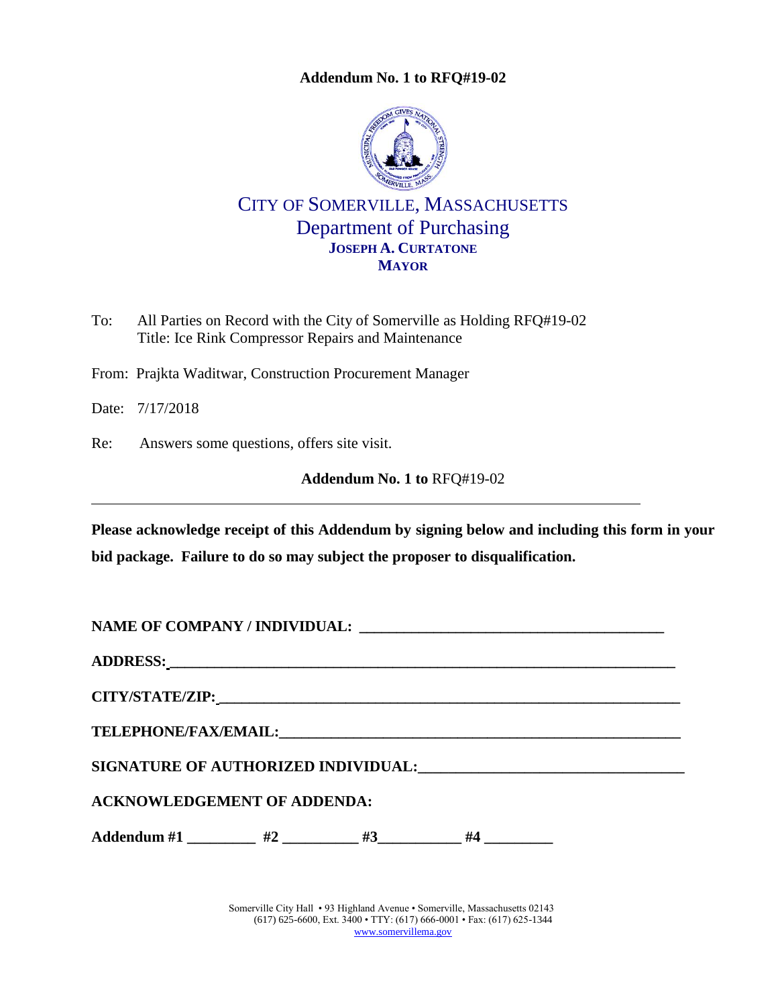**Addendum No. 1 to RFQ#19-02**



## CITY OF SOMERVILLE, MASSACHUSETTS Department of Purchasing **JOSEPH A. CURTATONE MAYOR**

- To: All Parties on Record with the City of Somerville as Holding RFQ#19-02 Title: Ice Rink Compressor Repairs and Maintenance
- From: Prajkta Waditwar, Construction Procurement Manager

Date: 7/17/2018

Re: Answers some questions, offers site visit.

<span id="page-0-0"></span>**Addendum No. 1 to** [RFQ#19-02](#page-0-0) 

**Please acknowledge receipt of this Addendum by signing below and including this form in your bid package. Failure to do so may subject the proposer to disqualification.**

**NAME OF COMPANY / INDIVIDUAL: \_\_\_\_\_\_\_\_\_\_\_\_\_\_\_\_\_\_\_\_\_\_\_\_\_\_\_\_\_\_\_\_\_\_\_\_\_\_\_\_\_**

**ADDRESS: \_\_\_\_\_\_\_\_\_\_\_\_\_\_\_\_\_\_\_\_\_\_\_\_\_\_\_\_\_\_\_\_\_\_\_\_\_\_\_\_\_\_\_\_\_\_\_\_\_\_\_\_\_\_\_\_\_\_\_\_\_\_\_\_\_\_\_\_**

**CITY/STATE/ZIP: \_\_\_\_\_\_\_\_\_\_\_\_\_\_\_\_\_\_\_\_\_\_\_\_\_\_\_\_\_\_\_\_\_\_\_\_\_\_\_\_\_\_\_\_\_\_\_\_\_\_\_\_\_\_\_\_\_\_\_\_\_\_**

**TELEPHONE/FAX/EMAIL:\_\_\_\_\_\_\_\_\_\_\_\_\_\_\_\_\_\_\_\_\_\_\_\_\_\_\_\_\_\_\_\_\_\_\_\_\_\_\_\_\_\_\_\_\_\_\_\_\_\_\_\_\_\_**

**SIGNATURE OF AUTHORIZED INDIVIDUAL:\_\_\_\_\_\_\_\_\_\_\_\_\_\_\_\_\_\_\_\_\_\_\_\_\_\_\_\_\_\_\_\_\_\_\_**

**ACKNOWLEDGEMENT OF ADDENDA:**

Addendum #1 \_\_\_\_\_\_\_\_\_ #2 \_\_\_\_\_\_\_\_\_ #3\_\_\_\_\_\_\_\_\_\_ #4 \_\_\_\_\_\_\_\_\_\_

Somerville City Hall • 93 Highland Avenue • Somerville, Massachusetts 02143 (617) 625-6600, Ext. 3400 • TTY: (617) 666-0001 • Fax: (617) 625-1344 [www.somervillema.gov](http://www.somervillema.gov/)